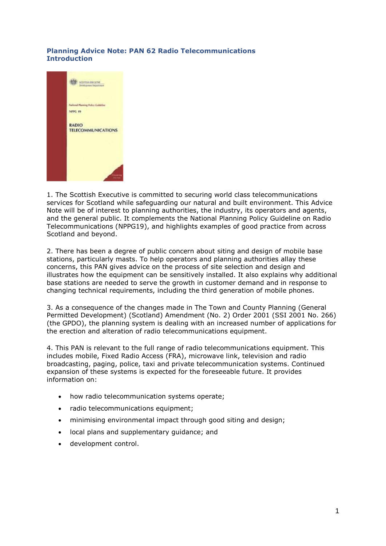## **Planning Advice Note: PAN 62 Radio Telecommunications Introduction**



1. The Scottish Executive is committed to securing world class telecommunications services for Scotland while safeguarding our natural and built environment. This Advice Note will be of interest to planning authorities, the industry, its operators and agents, and the general public. It complements the National Planning Policy Guideline on Radio Telecommunications (NPPG19), and highlights examples of good practice from across Scotland and beyond.

2. There has been a degree of public concern about siting and design of mobile base stations, particularly masts. To help operators and planning authorities allay these concerns, this PAN gives advice on the process of site selection and design and illustrates how the equipment can be sensitively installed. It also explains why additional base stations are needed to serve the growth in customer demand and in response to changing technical requirements, including the third generation of mobile phones.

3. As a consequence of the changes made in The Town and County Planning (General Permitted Development) (Scotland) Amendment (No. 2) Order 2001 (SSI 2001 No. 266) (the GPDO), the planning system is dealing with an increased number of applications for the erection and alteration of radio telecommunications equipment.

4. This PAN is relevant to the full range of radio telecommunications equipment. This includes mobile, Fixed Radio Access (FRA), microwave link, television and radio broadcasting, paging, police, taxi and private telecommunication systems. Continued expansion of these systems is expected for the foreseeable future. It provides information on:

- how radio telecommunication systems operate;
- radio telecommunications equipment;
- minimising environmental impact through good siting and design;
- local plans and supplementary guidance; and
- development control.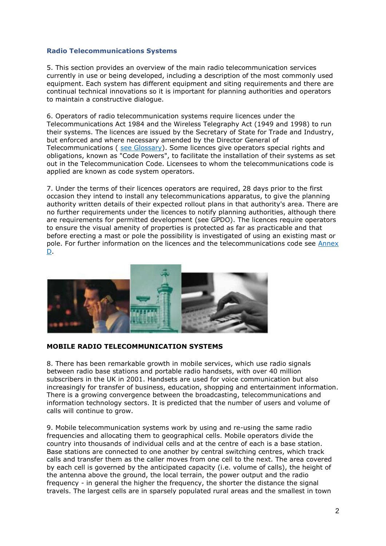#### **Radio Telecommunications Systems**

5. This section provides an overview of the main radio telecommunication services currently in use or being developed, including a description of the most commonly used equipment. Each system has different equipment and siting requirements and there are continual technical innovations so it is important for planning authorities and operators to maintain a constructive dialogue.

6. Operators of radio telecommunication systems require licences under the Telecommunications Act 1984 and the Wireless Telegraphy Act (1949 and 1998) to run their systems. The licences are issued by the Secretary of State for Trade and Industry, but enforced and where necessary amended by the Director General of Telecommunications ( [see Glossary\)](http://www.gov.scot/Publications/2001/09/pan62/pan62-#a1). Some licences give operators special rights and obligations, known as "Code Powers", to facilitate the installation of their systems as set out in the Telecommunication Code. Licensees to whom the telecommunications code is applied are known as code system operators.

7. Under the terms of their licences operators are required, 28 days prior to the first occasion they intend to install any telecommunications apparatus, to give the planning authority written details of their expected rollout plans in that authority's area. There are no further requirements under the licences to notify planning authorities, although there are requirements for permitted development (see GPDO). The licences require operators to ensure the visual amenity of properties is protected as far as practicable and that before erecting a mast or pole the possibility is investigated of using an existing mast or pole. For further information on the licences and the telecommunications code see [Annex](http://www.gov.scot/Publications/2001/09/pan62/pan62-#a2)  [D.](http://www.gov.scot/Publications/2001/09/pan62/pan62-#a2)



#### **MOBILE RADIO TELECOMMUNICATION SYSTEMS**

8. There has been remarkable growth in mobile services, which use radio signals between radio base stations and portable radio handsets, with over 40 million subscribers in the UK in 2001. Handsets are used for voice communication but also increasingly for transfer of business, education, shopping and entertainment information. There is a growing convergence between the broadcasting, telecommunications and information technology sectors. It is predicted that the number of users and volume of calls will continue to grow.

9. Mobile telecommunication systems work by using and re-using the same radio frequencies and allocating them to geographical cells. Mobile operators divide the country into thousands of individual cells and at the centre of each is a base station. Base stations are connected to one another by central switching centres, which track calls and transfer them as the caller moves from one cell to the next. The area covered by each cell is governed by the anticipated capacity (i.e. volume of calls), the height of the antenna above the ground, the local terrain, the power output and the radio frequency - in general the higher the frequency, the shorter the distance the signal travels. The largest cells are in sparsely populated rural areas and the smallest in town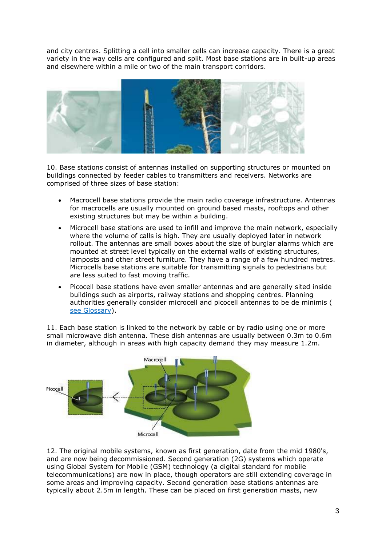and city centres. Splitting a cell into smaller cells can increase capacity. There is a great variety in the way cells are configured and split. Most base stations are in built-up areas and elsewhere within a mile or two of the main transport corridors.



10. Base stations consist of antennas installed on supporting structures or mounted on buildings connected by feeder cables to transmitters and receivers. Networks are comprised of three sizes of base station:

- Macrocell base stations provide the main radio coverage infrastructure. Antennas for macrocells are usually mounted on ground based masts, rooftops and other existing structures but may be within a building.
- Microcell base stations are used to infill and improve the main network, especially where the volume of calls is high. They are usually deployed later in network rollout. The antennas are small boxes about the size of burglar alarms which are mounted at street level typically on the external walls of existing structures, lamposts and other street furniture. They have a range of a few hundred metres. Microcells base stations are suitable for transmitting signals to pedestrians but are less suited to fast moving traffic.
- Picocell base stations have even smaller antennas and are generally sited inside buildings such as airports, railway stations and shopping centres. Planning authorities generally consider microcell and picocell antennas to be de minimis ( [see Glossary\)](http://www.gov.scot/Publications/2001/09/pan62/pan62-#a1).

11. Each base station is linked to the network by cable or by radio using one or more small microwave dish antenna. These dish antennas are usually between 0.3m to 0.6m in diameter, although in areas with high capacity demand they may measure 1.2m.



12. The original mobile systems, known as first generation, date from the mid 1980's, and are now being decommissioned. Second generation (2G) systems which operate using Global System for Mobile (GSM) technology (a digital standard for mobile telecommunications) are now in place, though operators are still extending coverage in some areas and improving capacity. Second generation base stations antennas are typically about 2.5m in length. These can be placed on first generation masts, new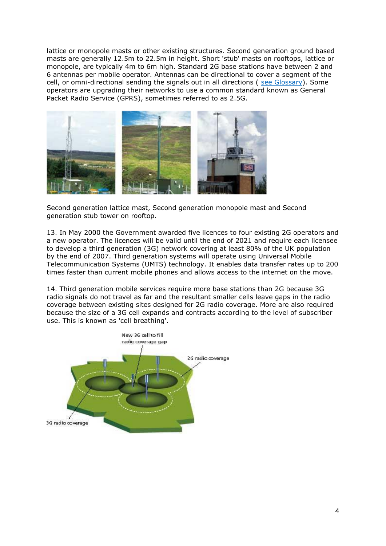lattice or monopole masts or other existing structures. Second generation ground based masts are generally 12.5m to 22.5m in height. Short 'stub' masts on rooftops, lattice or monopole, are typically 4m to 6m high. Standard 2G base stations have between 2 and 6 antennas per mobile operator. Antennas can be directional to cover a segment of the cell, or omni-directional sending the signals out in all directions ( [see Glossary\)](http://www.gov.scot/Publications/2001/09/pan62/pan62-#a1). Some operators are upgrading their networks to use a common standard known as General Packet Radio Service (GPRS), sometimes referred to as 2.5G.



Second generation lattice mast, Second generation monopole mast and Second generation stub tower on rooftop.

13. In May 2000 the Government awarded five licences to four existing 2G operators and a new operator. The licences will be valid until the end of 2021 and require each licensee to develop a third generation (3G) network covering at least 80% of the UK population by the end of 2007. Third generation systems will operate using Universal Mobile Telecommunication Systems (UMTS) technology. It enables data transfer rates up to 200 times faster than current mobile phones and allows access to the internet on the move.

14. Third generation mobile services require more base stations than 2G because 3G radio signals do not travel as far and the resultant smaller cells leave gaps in the radio coverage between existing sites designed for 2G radio coverage. More are also required because the size of a 3G cell expands and contracts according to the level of subscriber use. This is known as 'cell breathing'.

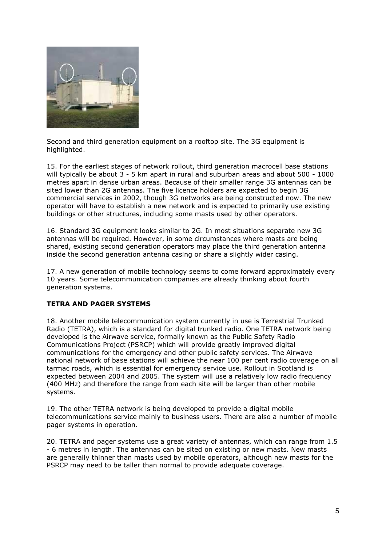

Second and third generation equipment on a rooftop site. The 3G equipment is highlighted.

15. For the earliest stages of network rollout, third generation macrocell base stations will typically be about 3 - 5 km apart in rural and suburban areas and about 500 - 1000 metres apart in dense urban areas. Because of their smaller range 3G antennas can be sited lower than 2G antennas. The five licence holders are expected to begin 3G commercial services in 2002, though 3G networks are being constructed now. The new operator will have to establish a new network and is expected to primarily use existing buildings or other structures, including some masts used by other operators.

16. Standard 3G equipment looks similar to 2G. In most situations separate new 3G antennas will be required. However, in some circumstances where masts are being shared, existing second generation operators may place the third generation antenna inside the second generation antenna casing or share a slightly wider casing.

17. A new generation of mobile technology seems to come forward approximately every 10 years. Some telecommunication companies are already thinking about fourth generation systems.

## **TETRA AND PAGER SYSTEMS**

18. Another mobile telecommunication system currently in use is Terrestrial Trunked Radio (TETRA), which is a standard for digital trunked radio. One TETRA network being developed is the Airwave service, formally known as the Public Safety Radio Communications Project (PSRCP) which will provide greatly improved digital communications for the emergency and other public safety services. The Airwave national network of base stations will achieve the near 100 per cent radio coverage on all tarmac roads, which is essential for emergency service use. Rollout in Scotland is expected between 2004 and 2005. The system will use a relatively low radio frequency (400 MHz) and therefore the range from each site will be larger than other mobile systems.

19. The other TETRA network is being developed to provide a digital mobile telecommunications service mainly to business users. There are also a number of mobile pager systems in operation.

20. TETRA and pager systems use a great variety of antennas, which can range from 1.5 - 6 metres in length. The antennas can be sited on existing or new masts. New masts are generally thinner than masts used by mobile operators, although new masts for the PSRCP may need to be taller than normal to provide adequate coverage.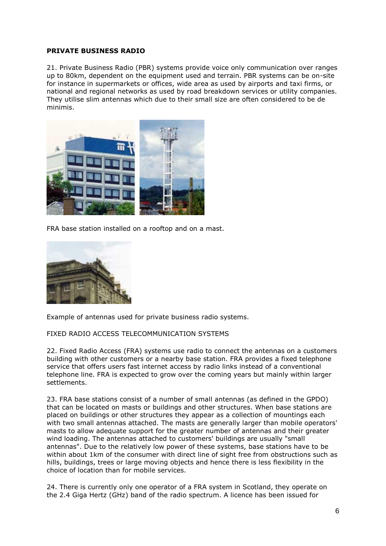#### **PRIVATE BUSINESS RADIO**

21. Private Business Radio (PBR) systems provide voice only communication over ranges up to 80km, dependent on the equipment used and terrain. PBR systems can be on-site for instance in supermarkets or offices, wide area as used by airports and taxi firms, or national and regional networks as used by road breakdown services or utility companies. They utilise slim antennas which due to their small size are often considered to be de minimis.



FRA base station installed on a rooftop and on a mast.



Example of antennas used for private business radio systems.

## FIXED RADIO ACCESS TELECOMMUNICATION SYSTEMS

22. Fixed Radio Access (FRA) systems use radio to connect the antennas on a customers building with other customers or a nearby base station. FRA provides a fixed telephone service that offers users fast internet access by radio links instead of a conventional telephone line. FRA is expected to grow over the coming years but mainly within larger settlements.

23. FRA base stations consist of a number of small antennas (as defined in the GPDO) that can be located on masts or buildings and other structures. When base stations are placed on buildings or other structures they appear as a collection of mountings each with two small antennas attached. The masts are generally larger than mobile operators' masts to allow adequate support for the greater number of antennas and their greater wind loading. The antennas attached to customers' buildings are usually "small antennas". Due to the relatively low power of these systems, base stations have to be within about 1km of the consumer with direct line of sight free from obstructions such as hills, buildings, trees or large moving objects and hence there is less flexibility in the choice of location than for mobile services.

24. There is currently only one operator of a FRA system in Scotland, they operate on the 2.4 Giga Hertz (GHz) band of the radio spectrum. A licence has been issued for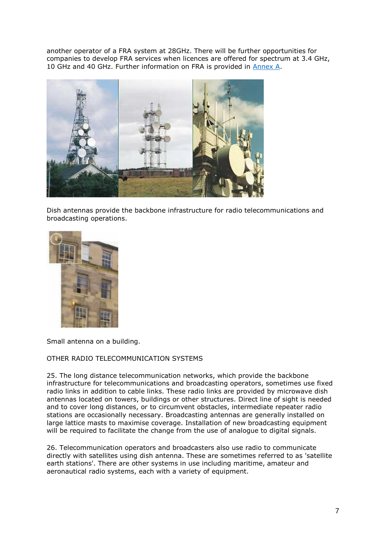another operator of a FRA system at 28GHz. There will be further opportunities for companies to develop FRA services when licences are offered for spectrum at 3.4 GHz, 10 GHz and 40 GHz. Further information on FRA is provided in **Annex A**.



Dish antennas provide the backbone infrastructure for radio telecommunications and broadcasting operations.



Small antenna on a building.

## OTHER RADIO TELECOMMUNICATION SYSTEMS

25. The long distance telecommunication networks, which provide the backbone infrastructure for telecommunications and broadcasting operators, sometimes use fixed radio links in addition to cable links. These radio links are provided by microwave dish antennas located on towers, buildings or other structures. Direct line of sight is needed and to cover long distances, or to circumvent obstacles, intermediate repeater radio stations are occasionally necessary. Broadcasting antennas are generally installed on large lattice masts to maximise coverage. Installation of new broadcasting equipment will be required to facilitate the change from the use of analogue to digital signals.

26. Telecommunication operators and broadcasters also use radio to communicate directly with satellites using dish antenna. These are sometimes referred to as 'satellite earth stations'. There are other systems in use including maritime, amateur and aeronautical radio systems, each with a variety of equipment.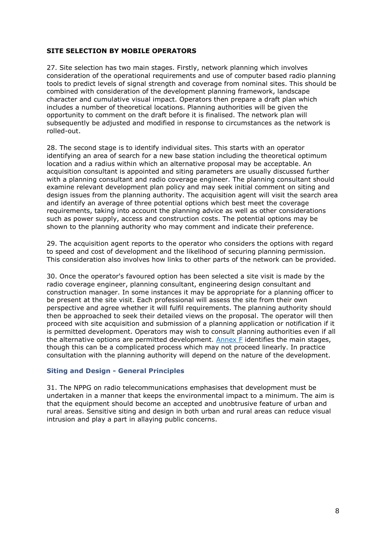### **SITE SELECTION BY MOBILE OPERATORS**

27. Site selection has two main stages. Firstly, network planning which involves consideration of the operational requirements and use of computer based radio planning tools to predict levels of signal strength and coverage from nominal sites. This should be combined with consideration of the development planning framework, landscape character and cumulative visual impact. Operators then prepare a draft plan which includes a number of theoretical locations. Planning authorities will be given the opportunity to comment on the draft before it is finalised. The network plan will subsequently be adjusted and modified in response to circumstances as the network is rolled-out.

28. The second stage is to identify individual sites. This starts with an operator identifying an area of search for a new base station including the theoretical optimum location and a radius within which an alternative proposal may be acceptable. An acquisition consultant is appointed and siting parameters are usually discussed further with a planning consultant and radio coverage engineer. The planning consultant should examine relevant development plan policy and may seek initial comment on siting and design issues from the planning authority. The acquisition agent will visit the search area and identify an average of three potential options which best meet the coverage requirements, taking into account the planning advice as well as other considerations such as power supply, access and construction costs. The potential options may be shown to the planning authority who may comment and indicate their preference.

29. The acquisition agent reports to the operator who considers the options with regard to speed and cost of development and the likelihood of securing planning permission. This consideration also involves how links to other parts of the network can be provided.

30. Once the operator's favoured option has been selected a site visit is made by the radio coverage engineer, planning consultant, engineering design consultant and construction manager. In some instances it may be appropriate for a planning officer to be present at the site visit. Each professional will assess the site from their own perspective and agree whether it will fulfil requirements. The planning authority should then be approached to seek their detailed views on the proposal. The operator will then proceed with site acquisition and submission of a planning application or notification if it is permitted development. Operators may wish to consult planning authorities even if all the alternative options are permitted development. [Annex F](http://www.gov.scot/Publications/2001/09/pan62/pan62-#a4) identifies the main stages, though this can be a complicated process which may not proceed linearly. In practice consultation with the planning authority will depend on the nature of the development.

#### **Siting and Design - General Principles**

31. The NPPG on radio telecommunications emphasises that development must be undertaken in a manner that keeps the environmental impact to a minimum. The aim is that the equipment should become an accepted and unobtrusive feature of urban and rural areas. Sensitive siting and design in both urban and rural areas can reduce visual intrusion and play a part in allaying public concerns.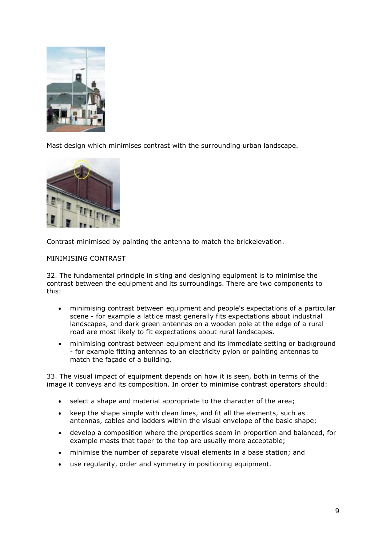

Mast design which minimises contrast with the surrounding urban landscape.



Contrast minimised by painting the antenna to match the brickelevation.

### MINIMISING CONTRAST

32. The fundamental principle in siting and designing equipment is to minimise the contrast between the equipment and its surroundings. There are two components to this:

- minimising contrast between equipment and people's expectations of a particular scene - for example a lattice mast generally fits expectations about industrial landscapes, and dark green antennas on a wooden pole at the edge of a rural road are most likely to fit expectations about rural landscapes.
- minimising contrast between equipment and its immediate setting or background - for example fitting antennas to an electricity pylon or painting antennas to match the façade of a building.

33. The visual impact of equipment depends on how it is seen, both in terms of the image it conveys and its composition. In order to minimise contrast operators should:

- select a shape and material appropriate to the character of the area;
- keep the shape simple with clean lines, and fit all the elements, such as antennas, cables and ladders within the visual envelope of the basic shape;
- develop a composition where the properties seem in proportion and balanced, for example masts that taper to the top are usually more acceptable;
- minimise the number of separate visual elements in a base station; and
- use regularity, order and symmetry in positioning equipment.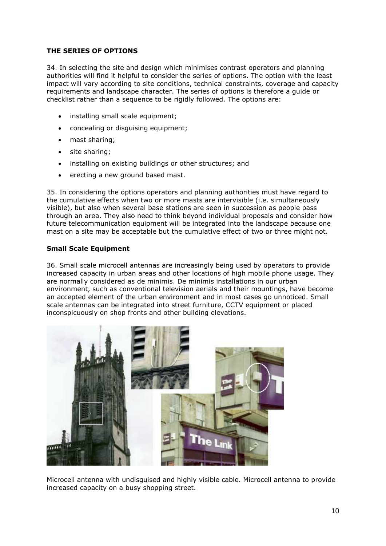### **THE SERIES OF OPTIONS**

34. In selecting the site and design which minimises contrast operators and planning authorities will find it helpful to consider the series of options. The option with the least impact will vary according to site conditions, technical constraints, coverage and capacity requirements and landscape character. The series of options is therefore a guide or checklist rather than a sequence to be rigidly followed. The options are:

- installing small scale equipment;
- concealing or disquising equipment:
- mast sharing:
- site sharing;
- installing on existing buildings or other structures; and
- erecting a new ground based mast.

35. In considering the options operators and planning authorities must have regard to the cumulative effects when two or more masts are intervisible (i.e. simultaneously visible), but also when several base stations are seen in succession as people pass through an area. They also need to think beyond individual proposals and consider how future telecommunication equipment will be integrated into the landscape because one mast on a site may be acceptable but the cumulative effect of two or three might not.

### **Small Scale Equipment**

36. Small scale microcell antennas are increasingly being used by operators to provide increased capacity in urban areas and other locations of high mobile phone usage. They are normally considered as de minimis. De minimis installations in our urban environment, such as conventional television aerials and their mountings, have become an accepted element of the urban environment and in most cases go unnoticed. Small scale antennas can be integrated into street furniture, CCTV equipment or placed inconspicuously on shop fronts and other building elevations.



Microcell antenna with undisguised and highly visible cable. Microcell antenna to provide increased capacity on a busy shopping street.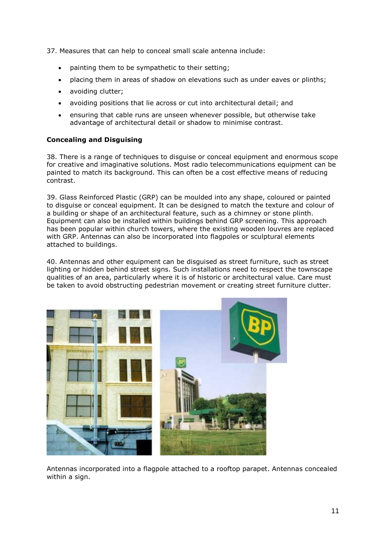37. Measures that can help to conceal small scale antenna include:

- painting them to be sympathetic to their setting;
- placing them in areas of shadow on elevations such as under eaves or plinths;
- avoiding clutter;
- avoiding positions that lie across or cut into architectural detail; and
- ensuring that cable runs are unseen whenever possible, but otherwise take advantage of architectural detail or shadow to minimise contrast.

## **Concealing and Disguising**

38. There is a range of techniques to disguise or conceal equipment and enormous scope for creative and imaginative solutions. Most radio telecommunications equipment can be painted to match its background. This can often be a cost effective means of reducing contrast.

39. Glass Reinforced Plastic (GRP) can be moulded into any shape, coloured or painted to disguise or conceal equipment. It can be designed to match the texture and colour of a building or shape of an architectural feature, such as a chimney or stone plinth. Equipment can also be installed within buildings behind GRP screening. This approach has been popular within church towers, where the existing wooden louvres are replaced with GRP. Antennas can also be incorporated into flagpoles or sculptural elements attached to buildings.

40. Antennas and other equipment can be disguised as street furniture, such as street lighting or hidden behind street signs. Such installations need to respect the townscape qualities of an area, particularly where it is of historic or architectural value. Care must be taken to avoid obstructing pedestrian movement or creating street furniture clutter.



Antennas incorporated into a flagpole attached to a rooftop parapet. Antennas concealed within a sign.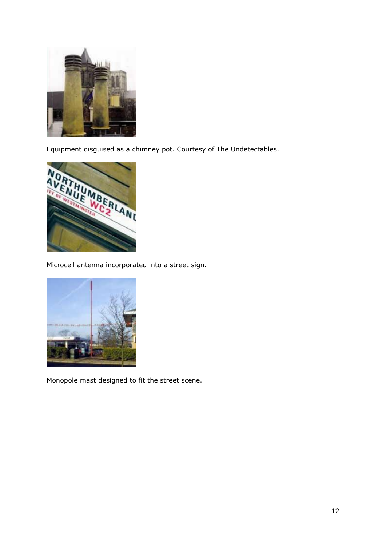

Equipment disguised as a chimney pot. Courtesy of The Undetectables.



Microcell antenna incorporated into a street sign.



Monopole mast designed to fit the street scene.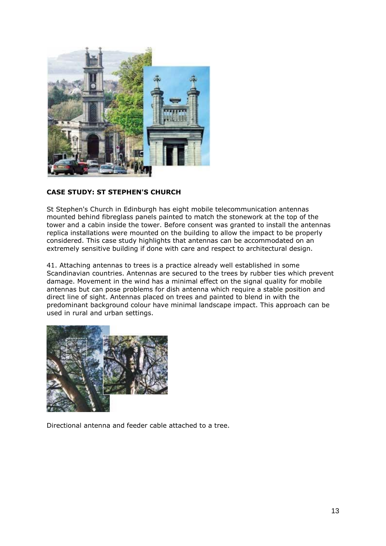

## **CASE STUDY: ST STEPHEN'S CHURCH**

St Stephen's Church in Edinburgh has eight mobile telecommunication antennas mounted behind fibreglass panels painted to match the stonework at the top of the tower and a cabin inside the tower. Before consent was granted to install the antennas replica installations were mounted on the building to allow the impact to be properly considered. This case study highlights that antennas can be accommodated on an extremely sensitive building if done with care and respect to architectural design.

41. Attaching antennas to trees is a practice already well established in some Scandinavian countries. Antennas are secured to the trees by rubber ties which prevent damage. Movement in the wind has a minimal effect on the signal quality for mobile antennas but can pose problems for dish antenna which require a stable position and direct line of sight. Antennas placed on trees and painted to blend in with the predominant background colour have minimal landscape impact. This approach can be used in rural and urban settings.



Directional antenna and feeder cable attached to a tree.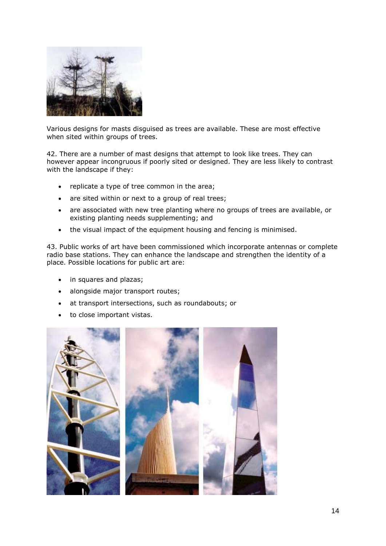

Various designs for masts disguised as trees are available. These are most effective when sited within groups of trees.

42. There are a number of mast designs that attempt to look like trees. They can however appear incongruous if poorly sited or designed. They are less likely to contrast with the landscape if they:

- replicate a type of tree common in the area;
- are sited within or next to a group of real trees;
- are associated with new tree planting where no groups of trees are available, or existing planting needs supplementing; and
- the visual impact of the equipment housing and fencing is minimised.

43. Public works of art have been commissioned which incorporate antennas or complete radio base stations. They can enhance the landscape and strengthen the identity of a place. Possible locations for public art are:

- in squares and plazas;
- alongside major transport routes;
- at transport intersections, such as roundabouts; or
- to close important vistas.

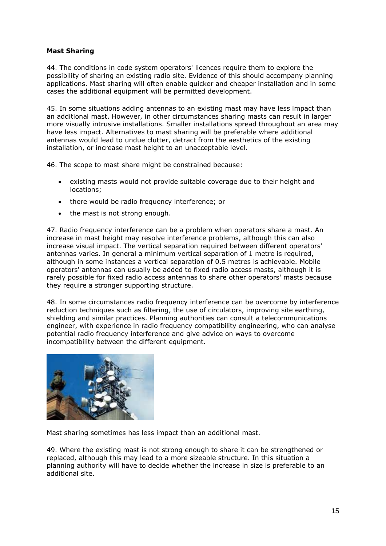## **Mast Sharing**

44. The conditions in code system operators' licences require them to explore the possibility of sharing an existing radio site. Evidence of this should accompany planning applications. Mast sharing will often enable quicker and cheaper installation and in some cases the additional equipment will be permitted development.

45. In some situations adding antennas to an existing mast may have less impact than an additional mast. However, in other circumstances sharing masts can result in larger more visually intrusive installations. Smaller installations spread throughout an area may have less impact. Alternatives to mast sharing will be preferable where additional antennas would lead to undue clutter, detract from the aesthetics of the existing installation, or increase mast height to an unacceptable level.

46. The scope to mast share might be constrained because:

- existing masts would not provide suitable coverage due to their height and locations;
- there would be radio frequency interference; or
- the mast is not strong enough.

47. Radio frequency interference can be a problem when operators share a mast. An increase in mast height may resolve interference problems, although this can also increase visual impact. The vertical separation required between different operators' antennas varies. In general a minimum vertical separation of 1 metre is required, although in some instances a vertical separation of 0.5 metres is achievable. Mobile operators' antennas can usually be added to fixed radio access masts, although it is rarely possible for fixed radio access antennas to share other operators' masts because they require a stronger supporting structure.

48. In some circumstances radio frequency interference can be overcome by interference reduction techniques such as filtering, the use of circulators, improving site earthing, shielding and similar practices. Planning authorities can consult a telecommunications engineer, with experience in radio frequency compatibility engineering, who can analyse potential radio frequency interference and give advice on ways to overcome incompatibility between the different equipment.



Mast sharing sometimes has less impact than an additional mast.

49. Where the existing mast is not strong enough to share it can be strengthened or replaced, although this may lead to a more sizeable structure. In this situation a planning authority will have to decide whether the increase in size is preferable to an additional site.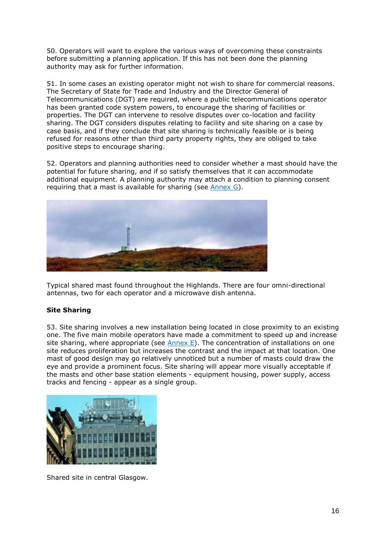50. Operators will want to explore the various ways of overcoming these constraints before submitting a planning application. If this has not been done the planning authority may ask for further information.

51. In some cases an existing operator might not wish to share for commercial reasons. The Secretary of State for Trade and Industry and the Director General of Telecommunications (DGT) are required, where a public telecommunications operator has been granted code system powers, to encourage the sharing of facilities or properties. The DGT can intervene to resolve disputes over co-location and facility sharing. The DGT considers disputes relating to facility and site sharing on a case by case basis, and if they conclude that site sharing is technically feasible or is being refused for reasons other than third party property rights, they are obliged to take positive steps to encourage sharing.

52. Operators and planning authorities need to consider whether a mast should have the potential for future sharing, and if so satisfy themselves that it can accommodate additional equipment. A planning authority may attach a condition to planning consent requiring that a mast is available for sharing (see  $\Delta$ nnex G).



Typical shared mast found throughout the Highlands. There are four omni-directional antennas, two for each operator and a microwave dish antenna.

## **Site Sharing**

53. Site sharing involves a new installation being located in close proximity to an existing one. The five main mobile operators have made a commitment to speed up and increase site sharing, where appropriate (see  $\frac{\text{Annex}}{\text{E}}$ ). The concentration of installations on one site reduces proliferation but increases the contrast and the impact at that location. One mast of good design may go relatively unnoticed but a number of masts could draw the eye and provide a prominent focus. Site sharing will appear more visually acceptable if the masts and other base station elements - equipment housing, power supply, access tracks and fencing - appear as a single group.



Shared site in central Glasgow.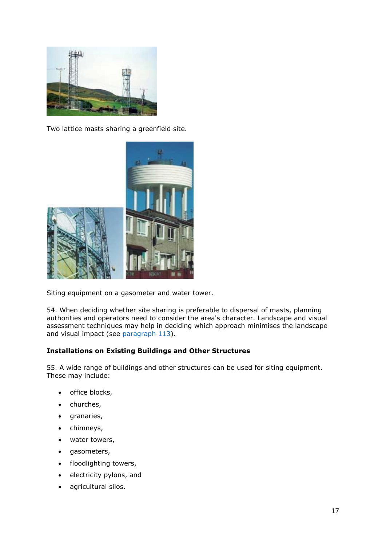

Two lattice masts sharing a greenfield site.



Siting equipment on a gasometer and water tower.

54. When deciding whether site sharing is preferable to dispersal of masts, planning authorities and operators need to consider the area's character. Landscape and visual assessment techniques may help in deciding which approach minimises the landscape and visual impact (see [paragraph 113\)](http://www.gov.scot/Publications/2001/09/pan62/pan62-#a7).

## **Installations on Existing Buildings and Other Structures**

55. A wide range of buildings and other structures can be used for siting equipment. These may include:

- office blocks,
- churches,
- granaries,
- chimneys,
- water towers,
- gasometers,
- floodlighting towers,
- electricity pylons, and
- agricultural silos.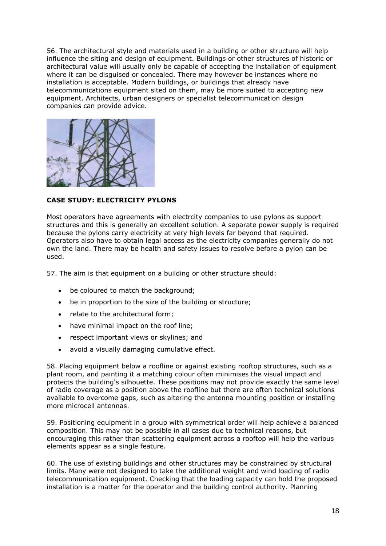56. The architectural style and materials used in a building or other structure will help influence the siting and design of equipment. Buildings or other structures of historic or architectural value will usually only be capable of accepting the installation of equipment where it can be disguised or concealed. There may however be instances where no installation is acceptable. Modern buildings, or buildings that already have telecommunications equipment sited on them, may be more suited to accepting new equipment. Architects, urban designers or specialist telecommunication design companies can provide advice.



**CASE STUDY: ELECTRICITY PYLONS**

Most operators have agreements with electrcity companies to use pylons as support structures and this is generally an excellent solution. A separate power supply is required because the pylons carry electricity at very high levels far beyond that required. Operators also have to obtain legal access as the electricity companies generally do not own the land. There may be health and safety issues to resolve before a pylon can be used.

57. The aim is that equipment on a building or other structure should:

- be coloured to match the background;
- be in proportion to the size of the building or structure;
- relate to the architectural form;
- have minimal impact on the roof line:
- respect important views or skylines; and
- avoid a visually damaging cumulative effect.

58. Placing equipment below a roofline or against existing rooftop structures, such as a plant room, and painting it a matching colour often minimises the visual impact and protects the building's silhouette. These positions may not provide exactly the same level of radio coverage as a position above the roofline but there are often technical solutions available to overcome gaps, such as altering the antenna mounting position or installing more microcell antennas.

59. Positioning equipment in a group with symmetrical order will help achieve a balanced composition. This may not be possible in all cases due to technical reasons, but encouraging this rather than scattering equipment across a rooftop will help the various elements appear as a single feature.

60. The use of existing buildings and other structures may be constrained by structural limits. Many were not designed to take the additional weight and wind loading of radio telecommunication equipment. Checking that the loading capacity can hold the proposed installation is a matter for the operator and the building control authority. Planning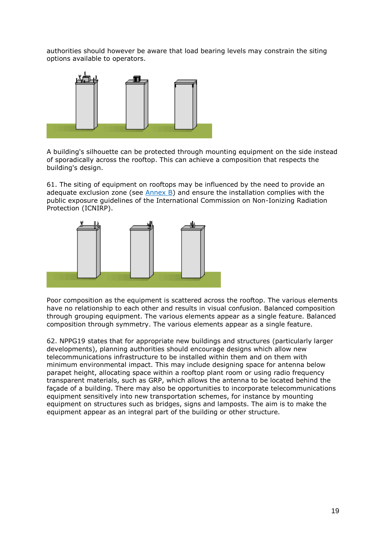authorities should however be aware that load bearing levels may constrain the siting options available to operators.



A building's silhouette can be protected through mounting equipment on the side instead of sporadically across the rooftop. This can achieve a composition that respects the building's design.

61. The siting of equipment on rooftops may be influenced by the need to provide an adequate exclusion zone (see [Annex B\)](http://www.gov.scot/Publications/2001/09/pan62/pan62-#a8) and ensure the installation complies with the public exposure guidelines of the International Commission on Non-Ionizing Radiation Protection (ICNIRP).



Poor composition as the equipment is scattered across the rooftop. The various elements have no relationship to each other and results in visual confusion. Balanced composition through grouping equipment. The various elements appear as a single feature. Balanced composition through symmetry. The various elements appear as a single feature.

62. NPPG19 states that for appropriate new buildings and structures (particularly larger developments), planning authorities should encourage designs which allow new telecommunications infrastructure to be installed within them and on them with minimum environmental impact. This may include designing space for antenna below parapet height, allocating space within a rooftop plant room or using radio frequency transparent materials, such as GRP, which allows the antenna to be located behind the façade of a building. There may also be opportunities to incorporate telecommunications equipment sensitively into new transportation schemes, for instance by mounting equipment on structures such as bridges, signs and lamposts. The aim is to make the equipment appear as an integral part of the building or other structure.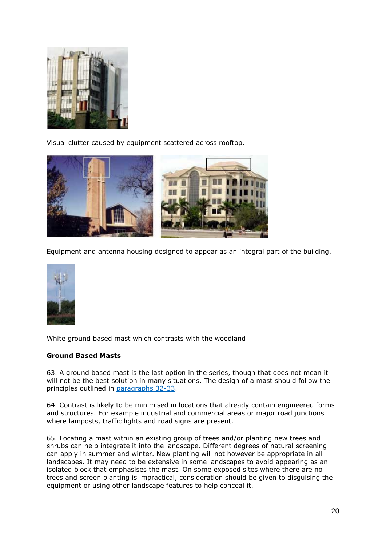

Visual clutter caused by equipment scattered across rooftop.



Equipment and antenna housing designed to appear as an integral part of the building.



White ground based mast which contrasts with the woodland

## **Ground Based Masts**

63. A ground based mast is the last option in the series, though that does not mean it will not be the best solution in many situations. The design of a mast should follow the principles outlined in [paragraphs 32-33.](http://www.gov.scot/Publications/2001/09/pan62/pan62-#a9)

64. Contrast is likely to be minimised in locations that already contain engineered forms and structures. For example industrial and commercial areas or major road junctions where lamposts, traffic lights and road signs are present.

65. Locating a mast within an existing group of trees and/or planting new trees and shrubs can help integrate it into the landscape. Different degrees of natural screening can apply in summer and winter. New planting will not however be appropriate in all landscapes. It may need to be extensive in some landscapes to avoid appearing as an isolated block that emphasises the mast. On some exposed sites where there are no trees and screen planting is impractical, consideration should be given to disguising the equipment or using other landscape features to help conceal it.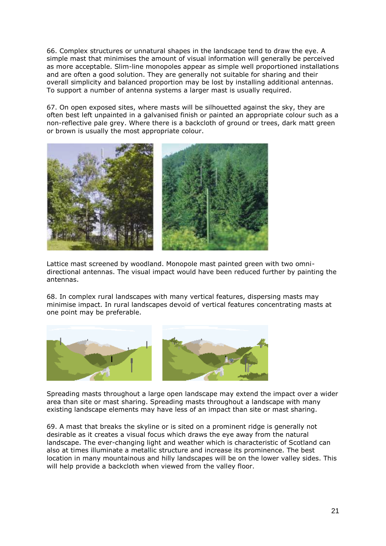66. Complex structures or unnatural shapes in the landscape tend to draw the eye. A simple mast that minimises the amount of visual information will generally be perceived as more acceptable. Slim-line monopoles appear as simple well proportioned installations and are often a good solution. They are generally not suitable for sharing and their overall simplicity and balanced proportion may be lost by installing additional antennas. To support a number of antenna systems a larger mast is usually required.

67. On open exposed sites, where masts will be silhouetted against the sky, they are often best left unpainted in a galvanised finish or painted an appropriate colour such as a non-reflective pale grey. Where there is a backcloth of ground or trees, dark matt green or brown is usually the most appropriate colour.



Lattice mast screened by woodland. Monopole mast painted green with two omnidirectional antennas. The visual impact would have been reduced further by painting the antennas.

68. In complex rural landscapes with many vertical features, dispersing masts may minimise impact. In rural landscapes devoid of vertical features concentrating masts at one point may be preferable.



Spreading masts throughout a large open landscape may extend the impact over a wider area than site or mast sharing. Spreading masts throughout a landscape with many existing landscape elements may have less of an impact than site or mast sharing.

69. A mast that breaks the skyline or is sited on a prominent ridge is generally not desirable as it creates a visual focus which draws the eye away from the natural landscape. The ever-changing light and weather which is characteristic of Scotland can also at times illuminate a metallic structure and increase its prominence. The best location in many mountainous and hilly landscapes will be on the lower valley sides. This will help provide a backcloth when viewed from the valley floor.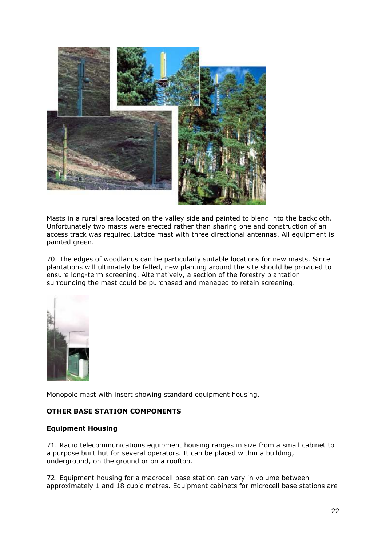

Masts in a rural area located on the valley side and painted to blend into the backcloth. Unfortunately two masts were erected rather than sharing one and construction of an access track was required.Lattice mast with three directional antennas. All equipment is painted green.

70. The edges of woodlands can be particularly suitable locations for new masts. Since plantations will ultimately be felled, new planting around the site should be provided to ensure long-term screening. Alternatively, a section of the forestry plantation surrounding the mast could be purchased and managed to retain screening.



Monopole mast with insert showing standard equipment housing.

## **OTHER BASE STATION COMPONENTS**

#### **Equipment Housing**

71. Radio telecommunications equipment housing ranges in size from a small cabinet to a purpose built hut for several operators. It can be placed within a building, underground, on the ground or on a rooftop.

72. Equipment housing for a macrocell base station can vary in volume between approximately 1 and 18 cubic metres. Equipment cabinets for microcell base stations are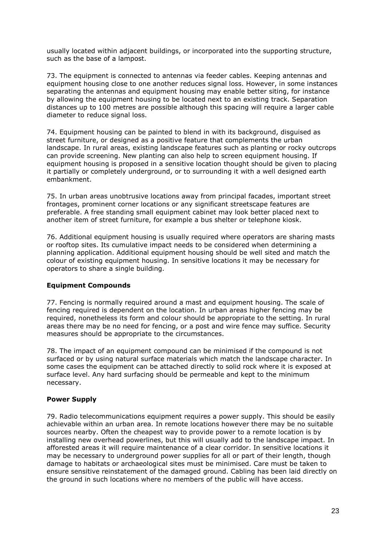usually located within adjacent buildings, or incorporated into the supporting structure, such as the base of a lampost.

73. The equipment is connected to antennas via feeder cables. Keeping antennas and equipment housing close to one another reduces signal loss. However, in some instances separating the antennas and equipment housing may enable better siting, for instance by allowing the equipment housing to be located next to an existing track. Separation distances up to 100 metres are possible although this spacing will require a larger cable diameter to reduce signal loss.

74. Equipment housing can be painted to blend in with its background, disguised as street furniture, or designed as a positive feature that complements the urban landscape. In rural areas, existing landscape features such as planting or rocky outcrops can provide screening. New planting can also help to screen equipment housing. If equipment housing is proposed in a sensitive location thought should be given to placing it partially or completely underground, or to surrounding it with a well designed earth embankment.

75. In urban areas unobtrusive locations away from principal facades, important street frontages, prominent corner locations or any significant streetscape features are preferable. A free standing small equipment cabinet may look better placed next to another item of street furniture, for example a bus shelter or telephone kiosk.

76. Additional equipment housing is usually required where operators are sharing masts or rooftop sites. Its cumulative impact needs to be considered when determining a planning application. Additional equipment housing should be well sited and match the colour of existing equipment housing. In sensitive locations it may be necessary for operators to share a single building.

## **Equipment Compounds**

77. Fencing is normally required around a mast and equipment housing. The scale of fencing required is dependent on the location. In urban areas higher fencing may be required, nonetheless its form and colour should be appropriate to the setting. In rural areas there may be no need for fencing, or a post and wire fence may suffice. Security measures should be appropriate to the circumstances.

78. The impact of an equipment compound can be minimised if the compound is not surfaced or by using natural surface materials which match the landscape character. In some cases the equipment can be attached directly to solid rock where it is exposed at surface level. Any hard surfacing should be permeable and kept to the minimum necessary.

## **Power Supply**

79. Radio telecommunications equipment requires a power supply. This should be easily achievable within an urban area. In remote locations however there may be no suitable sources nearby. Often the cheapest way to provide power to a remote location is by installing new overhead powerlines, but this will usually add to the landscape impact. In afforested areas it will require maintenance of a clear corridor. In sensitive locations it may be necessary to underground power supplies for all or part of their length, though damage to habitats or archaeological sites must be minimised. Care must be taken to ensure sensitive reinstatement of the damaged ground. Cabling has been laid directly on the ground in such locations where no members of the public will have access.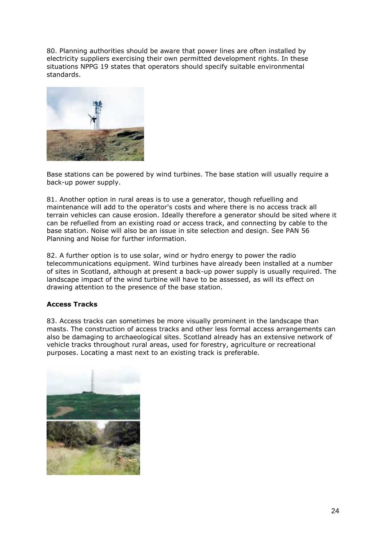80. Planning authorities should be aware that power lines are often installed by electricity suppliers exercising their own permitted development rights. In these situations NPPG 19 states that operators should specify suitable environmental standards.



Base stations can be powered by wind turbines. The base station will usually require a back-up power supply.

81. Another option in rural areas is to use a generator, though refuelling and maintenance will add to the operator's costs and where there is no access track all terrain vehicles can cause erosion. Ideally therefore a generator should be sited where it can be refuelled from an existing road or access track, and connecting by cable to the base station. Noise will also be an issue in site selection and design. See PAN 56 Planning and Noise for further information.

82. A further option is to use solar, wind or hydro energy to power the radio telecommunications equipment. Wind turbines have already been installed at a number of sites in Scotland, although at present a back-up power supply is usually required. The landscape impact of the wind turbine will have to be assessed, as will its effect on drawing attention to the presence of the base station.

## **Access Tracks**

83. Access tracks can sometimes be more visually prominent in the landscape than masts. The construction of access tracks and other less formal access arrangements can also be damaging to archaeological sites. Scotland already has an extensive network of vehicle tracks throughout rural areas, used for forestry, agriculture or recreational purposes. Locating a mast next to an existing track is preferable.

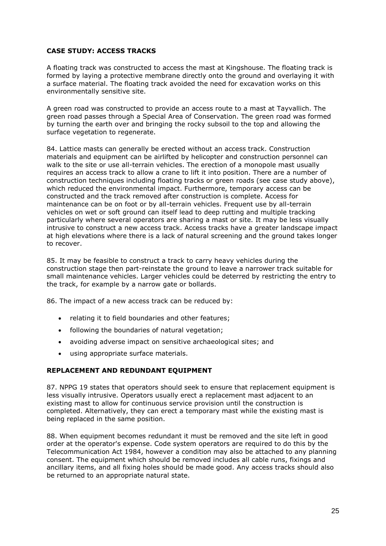### **CASE STUDY: ACCESS TRACKS**

A floating track was constructed to access the mast at Kingshouse. The floating track is formed by laying a protective membrane directly onto the ground and overlaying it with a surface material. The floating track avoided the need for excavation works on this environmentally sensitive site.

A green road was constructed to provide an access route to a mast at Tayvallich. The green road passes through a Special Area of Conservation. The green road was formed by turning the earth over and bringing the rocky subsoil to the top and allowing the surface vegetation to regenerate.

84. Lattice masts can generally be erected without an access track. Construction materials and equipment can be airlifted by helicopter and construction personnel can walk to the site or use all-terrain vehicles. The erection of a monopole mast usually requires an access track to allow a crane to lift it into position. There are a number of construction techniques including floating tracks or green roads (see case study above), which reduced the environmental impact. Furthermore, temporary access can be constructed and the track removed after construction is complete. Access for maintenance can be on foot or by all-terrain vehicles. Frequent use by all-terrain vehicles on wet or soft ground can itself lead to deep rutting and multiple tracking particularly where several operators are sharing a mast or site. It may be less visually intrusive to construct a new access track. Access tracks have a greater landscape impact at high elevations where there is a lack of natural screening and the ground takes longer to recover.

85. It may be feasible to construct a track to carry heavy vehicles during the construction stage then part-reinstate the ground to leave a narrower track suitable for small maintenance vehicles. Larger vehicles could be deterred by restricting the entry to the track, for example by a narrow gate or bollards.

86. The impact of a new access track can be reduced by:

- relating it to field boundaries and other features;
- following the boundaries of natural vegetation;
- avoiding adverse impact on sensitive archaeological sites; and
- using appropriate surface materials.

#### **REPLACEMENT AND REDUNDANT EQUIPMENT**

87. NPPG 19 states that operators should seek to ensure that replacement equipment is less visually intrusive. Operators usually erect a replacement mast adjacent to an existing mast to allow for continuous service provision until the construction is completed. Alternatively, they can erect a temporary mast while the existing mast is being replaced in the same position.

88. When equipment becomes redundant it must be removed and the site left in good order at the operator's expense. Code system operators are required to do this by the Telecommunication Act 1984, however a condition may also be attached to any planning consent. The equipment which should be removed includes all cable runs, fixings and ancillary items, and all fixing holes should be made good. Any access tracks should also be returned to an appropriate natural state.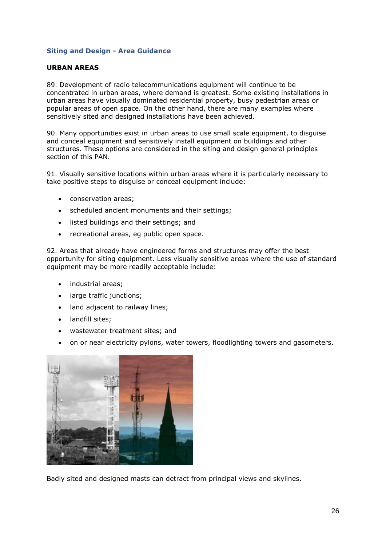### **Siting and Design - Area Guidance**

#### **URBAN AREAS**

89. Development of radio telecommunications equipment will continue to be concentrated in urban areas, where demand is greatest. Some existing installations in urban areas have visually dominated residential property, busy pedestrian areas or popular areas of open space. On the other hand, there are many examples where sensitively sited and designed installations have been achieved.

90. Many opportunities exist in urban areas to use small scale equipment, to disguise and conceal equipment and sensitively install equipment on buildings and other structures. These options are considered in the siting and design general principles section of this PAN.

91. Visually sensitive locations within urban areas where it is particularly necessary to take positive steps to disguise or conceal equipment include:

- conservation areas;
- scheduled ancient monuments and their settings;
- listed buildings and their settings; and
- recreational areas, eg public open space.

92. Areas that already have engineered forms and structures may offer the best opportunity for siting equipment. Less visually sensitive areas where the use of standard equipment may be more readily acceptable include:

- industrial areas:
- large traffic junctions;
- land adjacent to railway lines;
- landfill sites:
- wastewater treatment sites; and
- on or near electricity pylons, water towers, floodlighting towers and gasometers.



Badly sited and designed masts can detract from principal views and skylines.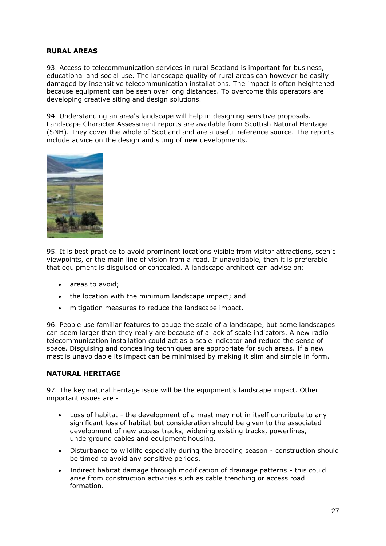## **RURAL AREAS**

93. Access to telecommunication services in rural Scotland is important for business, educational and social use. The landscape quality of rural areas can however be easily damaged by insensitive telecommunication installations. The impact is often heightened because equipment can be seen over long distances. To overcome this operators are developing creative siting and design solutions.

94. Understanding an area's landscape will help in designing sensitive proposals. Landscape Character Assessment reports are available from Scottish Natural Heritage (SNH). They cover the whole of Scotland and are a useful reference source. The reports include advice on the design and siting of new developments.



95. It is best practice to avoid prominent locations visible from visitor attractions, scenic viewpoints, or the main line of vision from a road. If unavoidable, then it is preferable that equipment is disguised or concealed. A landscape architect can advise on:

- areas to avoid;
- the location with the minimum landscape impact; and
- mitigation measures to reduce the landscape impact.

96. People use familiar features to gauge the scale of a landscape, but some landscapes can seem larger than they really are because of a lack of scale indicators. A new radio telecommunication installation could act as a scale indicator and reduce the sense of space. Disguising and concealing techniques are appropriate for such areas. If a new mast is unavoidable its impact can be minimised by making it slim and simple in form.

#### **NATURAL HERITAGE**

97. The key natural heritage issue will be the equipment's landscape impact. Other important issues are -

- Loss of habitat the development of a mast may not in itself contribute to any significant loss of habitat but consideration should be given to the associated development of new access tracks, widening existing tracks, powerlines, underground cables and equipment housing.
- Disturbance to wildlife especially during the breeding season construction should be timed to avoid any sensitive periods.
- Indirect habitat damage through modification of drainage patterns this could arise from construction activities such as cable trenching or access road formation.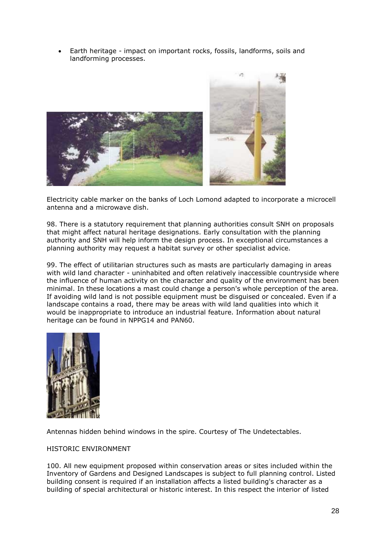Earth heritage - impact on important rocks, fossils, landforms, soils and landforming processes.



Electricity cable marker on the banks of Loch Lomond adapted to incorporate a microcell antenna and a microwave dish.

98. There is a statutory requirement that planning authorities consult SNH on proposals that might affect natural heritage designations. Early consultation with the planning authority and SNH will help inform the design process. In exceptional circumstances a planning authority may request a habitat survey or other specialist advice.

99. The effect of utilitarian structures such as masts are particularly damaging in areas with wild land character - uninhabited and often relatively inaccessible countryside where the influence of human activity on the character and quality of the environment has been minimal. In these locations a mast could change a person's whole perception of the area. If avoiding wild land is not possible equipment must be disguised or concealed. Even if a landscape contains a road, there may be areas with wild land qualities into which it would be inappropriate to introduce an industrial feature. Information about natural heritage can be found in NPPG14 and PAN60.



Antennas hidden behind windows in the spire. Courtesy of The Undetectables.

#### HISTORIC ENVIRONMENT

100. All new equipment proposed within conservation areas or sites included within the Inventory of Gardens and Designed Landscapes is subject to full planning control. Listed building consent is required if an installation affects a listed building's character as a building of special architectural or historic interest. In this respect the interior of listed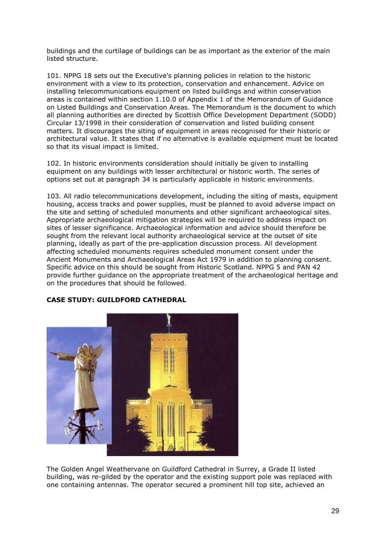buildings and the curtilage of buildings can be as important as the exterior of the main listed structure.

101. NPPG 18 sets out the Executive's planning policies in relation to the historic environment with a view to its protection, conservation and enhancement. Advice on installing telecommunications equipment on listed buildings and within conservation areas is contained within section 1.10.0 of Appendix 1 of the Memorandum of Guidance on Listed Buildings and Conservation Areas. The Memorandum is the document to which all planning authorities are directed by Scottish Office Development Department (SODD) Circular 13/1998 in their consideration of conservation and listed building consent matters. It discourages the siting of equipment in areas recognised for their historic or architectural value. It states that if no alternative is available equipment must be located so that its visual impact is limited.

102. In historic environments consideration should initially be given to installing equipment on any buildings with lesser architectural or historic worth. The series of options set out at paragraph 34 is particularly applicable in historic environments.

103. All radio telecommunications development, including the siting of masts, equipment housing, access tracks and power supplies, must be planned to avoid adverse impact on the site and setting of scheduled monuments and other significant archaeological sites. Appropriate archaeological mitigation strategies will be required to address impact on sites of lesser significance. Archaeological information and advice should therefore be sought from the relevant local authority archaeological service at the outset of site planning, ideally as part of the pre-application discussion process. All development affecting scheduled monuments requires scheduled monument consent under the Ancient Monuments and Archaeological Areas Act 1979 in addition to planning consent. Specific advice on this should be sought from Historic Scotland. NPPG 5 and PAN 42 provide further guidance on the appropriate treatment of the archaeological heritage and on the procedures that should be followed.

## **CASE STUDY: GUILDFORD CATHEDRAL**



The Golden Angel Weathervane on Guildford Cathedral in Surrey, a Grade II listed building, was re-gilded by the operator and the existing support pole was replaced with one containing antennas. The operator secured a prominent hill top site, achieved an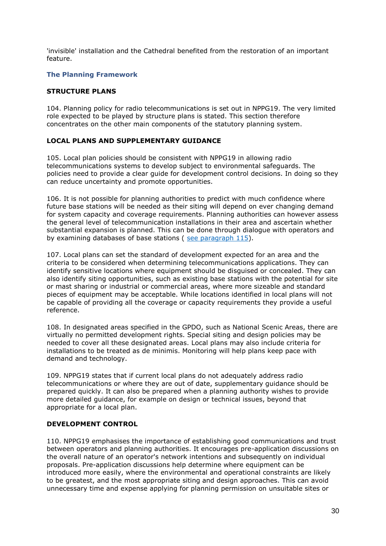'invisible' installation and the Cathedral benefited from the restoration of an important feature.

## **The Planning Framework**

## **STRUCTURE PLANS**

104. Planning policy for radio telecommunications is set out in NPPG19. The very limited role expected to be played by structure plans is stated. This section therefore concentrates on the other main components of the statutory planning system.

### **LOCAL PLANS AND SUPPLEMENTARY GUIDANCE**

105. Local plan policies should be consistent with NPPG19 in allowing radio telecommunications systems to develop subject to environmental safeguards. The policies need to provide a clear guide for development control decisions. In doing so they can reduce uncertainty and promote opportunities.

106. It is not possible for planning authorities to predict with much confidence where future base stations will be needed as their siting will depend on ever changing demand for system capacity and coverage requirements. Planning authorities can however assess the general level of telecommunication installations in their area and ascertain whether substantial expansion is planned. This can be done through dialogue with operators and by examining databases of base stations ( [see paragraph 115\)](http://www.gov.scot/Publications/2001/09/pan62/pan62-#a10).

107. Local plans can set the standard of development expected for an area and the criteria to be considered when determining telecommunications applications. They can identify sensitive locations where equipment should be disguised or concealed. They can also identify siting opportunities, such as existing base stations with the potential for site or mast sharing or industrial or commercial areas, where more sizeable and standard pieces of equipment may be acceptable. While locations identified in local plans will not be capable of providing all the coverage or capacity requirements they provide a useful reference.

108. In designated areas specified in the GPDO, such as National Scenic Areas, there are virtually no permitted development rights. Special siting and design policies may be needed to cover all these designated areas. Local plans may also include criteria for installations to be treated as de minimis. Monitoring will help plans keep pace with demand and technology.

109. NPPG19 states that if current local plans do not adequately address radio telecommunications or where they are out of date, supplementary guidance should be prepared quickly. It can also be prepared when a planning authority wishes to provide more detailed guidance, for example on design or technical issues, beyond that appropriate for a local plan.

#### **DEVELOPMENT CONTROL**

110. NPPG19 emphasises the importance of establishing good communications and trust between operators and planning authorities. It encourages pre-application discussions on the overall nature of an operator's network intentions and subsequently on individual proposals. Pre-application discussions help determine where equipment can be introduced more easily, where the environmental and operational constraints are likely to be greatest, and the most appropriate siting and design approaches. This can avoid unnecessary time and expense applying for planning permission on unsuitable sites or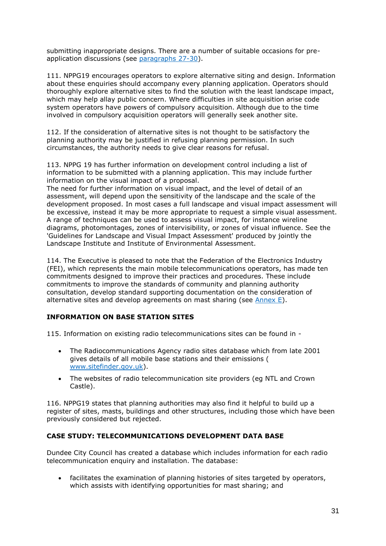submitting inappropriate designs. There are a number of suitable occasions for preapplication discussions (see [paragraphs 27-30\)](http://www.gov.scot/Publications/2001/09/pan62/pan62-#a11).

111. NPPG19 encourages operators to explore alternative siting and design. Information about these enquiries should accompany every planning application. Operators should thoroughly explore alternative sites to find the solution with the least landscape impact, which may help allay public concern. Where difficulties in site acquisition arise code system operators have powers of compulsory acquisition. Although due to the time involved in compulsory acquisition operators will generally seek another site.

112. If the consideration of alternative sites is not thought to be satisfactory the planning authority may be justified in refusing planning permission. In such circumstances, the authority needs to give clear reasons for refusal.

113. NPPG 19 has further information on development control including a list of information to be submitted with a planning application. This may include further information on the visual impact of a proposal.

The need for further information on visual impact, and the level of detail of an assessment, will depend upon the sensitivity of the landscape and the scale of the development proposed. In most cases a full landscape and visual impact assessment will be excessive, instead it may be more appropriate to request a simple visual assessment. A range of techniques can be used to assess visual impact, for instance wireline diagrams, photomontages, zones of intervisibility, or zones of visual influence. See the 'Guidelines for Landscape and Visual Impact Assessment' produced by jointly the Landscape Institute and Institute of Environmental Assessment.

114. The Executive is pleased to note that the Federation of the Electronics Industry (FEI), which represents the main mobile telecommunications operators, has made ten commitments designed to improve their practices and procedures. These include commitments to improve the standards of community and planning authority consultation, develop standard supporting documentation on the consideration of alternative sites and develop agreements on mast sharing (see  $\frac{\text{Annex E}}{\text{E}}$ ).

## **INFORMATION ON BASE STATION SITES**

115. Information on existing radio telecommunications sites can be found in -

- The Radiocommunications Agency radio sites database which from late 2001 gives details of all mobile base stations and their emissions ( [www.sitefinder.gov.uk\)](http://www.sitefinder.gov.uk/).
- The websites of radio telecommunication site providers (eg NTL and Crown Castle).

116. NPPG19 states that planning authorities may also find it helpful to build up a register of sites, masts, buildings and other structures, including those which have been previously considered but rejected.

## **CASE STUDY: TELECOMMUNICATIONS DEVELOPMENT DATA BASE**

Dundee City Council has created a database which includes information for each radio telecommunication enquiry and installation. The database:

 facilitates the examination of planning histories of sites targeted by operators, which assists with identifying opportunities for mast sharing; and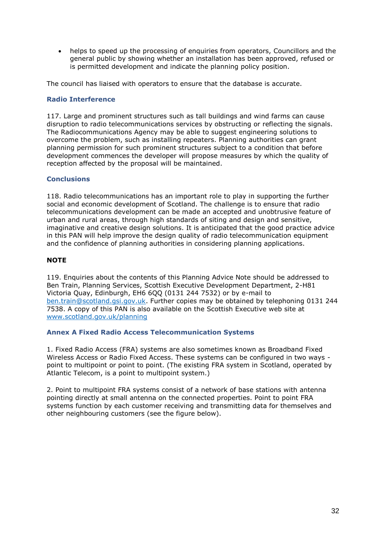helps to speed up the processing of enquiries from operators, Councillors and the general public by showing whether an installation has been approved, refused or is permitted development and indicate the planning policy position.

The council has liaised with operators to ensure that the database is accurate.

## **Radio Interference**

117. Large and prominent structures such as tall buildings and wind farms can cause disruption to radio telecommunications services by obstructing or reflecting the signals. The Radiocommunications Agency may be able to suggest engineering solutions to overcome the problem, such as installing repeaters. Planning authorities can grant planning permission for such prominent structures subject to a condition that before development commences the developer will propose measures by which the quality of reception affected by the proposal will be maintained.

## **Conclusions**

118. Radio telecommunications has an important role to play in supporting the further social and economic development of Scotland. The challenge is to ensure that radio telecommunications development can be made an accepted and unobtrusive feature of urban and rural areas, through high standards of siting and design and sensitive, imaginative and creative design solutions. It is anticipated that the good practice advice in this PAN will help improve the design quality of radio telecommunication equipment and the confidence of planning authorities in considering planning applications.

## **NOTE**

119. Enquiries about the contents of this Planning Advice Note should be addressed to Ben Train, Planning Services, Scottish Executive Development Department, 2-H81 Victoria Quay, Edinburgh, EH6 6QQ (0131 244 7532) or by e-mail to [ben.train@scotland.gsi.gov.uk.](mailto:ben.train@scotland.gsi.gov.uk) Further copies may be obtained by telephoning 0131 244 7538. A copy of this PAN is also available on the Scottish Executive web site at [www.scotland.gov.uk/planning](http://www.gov.scot/planning)

## **Annex A Fixed Radio Access Telecommunication Systems**

1. Fixed Radio Access (FRA) systems are also sometimes known as Broadband Fixed Wireless Access or Radio Fixed Access. These systems can be configured in two ways point to multipoint or point to point. (The existing FRA system in Scotland, operated by Atlantic Telecom, is a point to multipoint system.)

2. Point to multipoint FRA systems consist of a network of base stations with antenna pointing directly at small antenna on the connected properties. Point to point FRA systems function by each customer receiving and transmitting data for themselves and other neighbouring customers (see the figure below).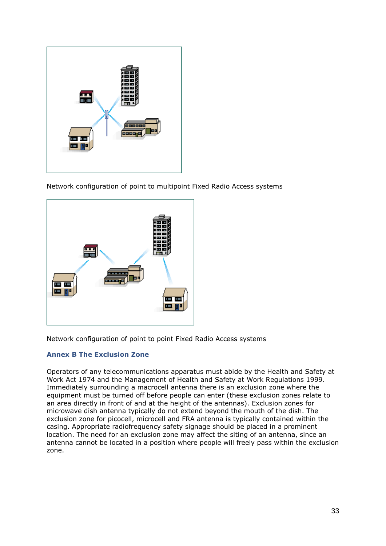

Network configuration of point to multipoint Fixed Radio Access systems



Network configuration of point to point Fixed Radio Access systems

## **Annex B The Exclusion Zone**

Operators of any telecommunications apparatus must abide by the Health and Safety at Work Act 1974 and the Management of Health and Safety at Work Regulations 1999. Immediately surrounding a macrocell antenna there is an exclusion zone where the equipment must be turned off before people can enter (these exclusion zones relate to an area directly in front of and at the height of the antennas). Exclusion zones for microwave dish antenna typically do not extend beyond the mouth of the dish. The exclusion zone for picocell, microcell and FRA antenna is typically contained within the casing. Appropriate radiofrequency safety signage should be placed in a prominent location. The need for an exclusion zone may affect the siting of an antenna, since an antenna cannot be located in a position where people will freely pass within the exclusion zone.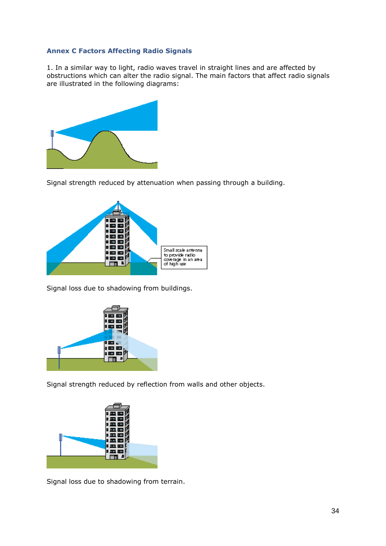## **Annex C Factors Affecting Radio Signals**

1. In a similar way to light, radio waves travel in straight lines and are affected by obstructions which can alter the radio signal. The main factors that affect radio signals are illustrated in the following diagrams:



Signal strength reduced by attenuation when passing through a building.



Signal loss due to shadowing from buildings.



Signal strength reduced by reflection from walls and other objects.



Signal loss due to shadowing from terrain.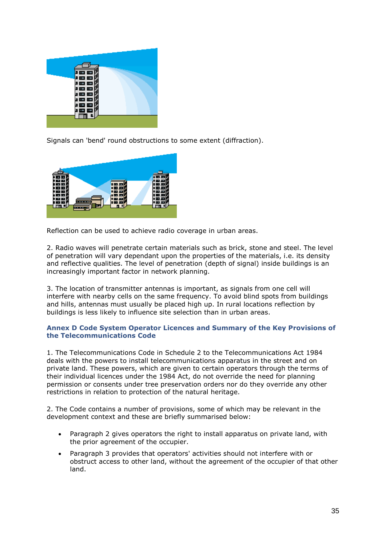

Signals can 'bend' round obstructions to some extent (diffraction).



Reflection can be used to achieve radio coverage in urban areas.

2. Radio waves will penetrate certain materials such as brick, stone and steel. The level of penetration will vary dependant upon the properties of the materials, i.e. its density and reflective qualities. The level of penetration (depth of signal) inside buildings is an increasingly important factor in network planning.

3. The location of transmitter antennas is important, as signals from one cell will interfere with nearby cells on the same frequency. To avoid blind spots from buildings and hills, antennas must usually be placed high up. In rural locations reflection by buildings is less likely to influence site selection than in urban areas.

### **Annex D Code System Operator Licences and Summary of the Key Provisions of the Telecommunications Code**

1. The Telecommunications Code in Schedule 2 to the Telecommunications Act 1984 deals with the powers to install telecommunications apparatus in the street and on private land. These powers, which are given to certain operators through the terms of their individual licences under the 1984 Act, do not override the need for planning permission or consents under tree preservation orders nor do they override any other restrictions in relation to protection of the natural heritage.

2. The Code contains a number of provisions, some of which may be relevant in the development context and these are briefly summarised below:

- Paragraph 2 gives operators the right to install apparatus on private land, with the prior agreement of the occupier.
- Paragraph 3 provides that operators' activities should not interfere with or obstruct access to other land, without the agreement of the occupier of that other land.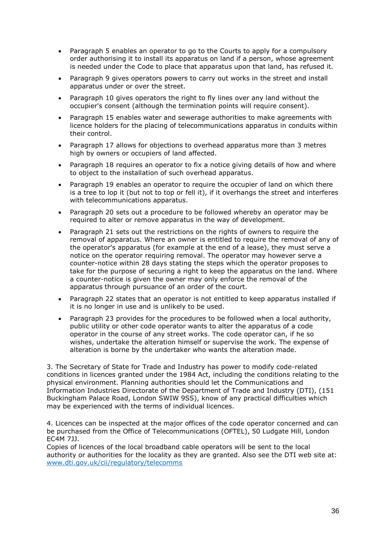- Paragraph 5 enables an operator to go to the Courts to apply for a compulsory order authorising it to install its apparatus on land if a person, whose agreement is needed under the Code to place that apparatus upon that land, has refused it.
- Paragraph 9 gives operators powers to carry out works in the street and install apparatus under or over the street.
- Paragraph 10 gives operators the right to fly lines over any land without the occupier's consent (although the termination points will require consent).
- Paragraph 15 enables water and sewerage authorities to make agreements with licence holders for the placing of telecommunications apparatus in conduits within their control.
- Paragraph 17 allows for objections to overhead apparatus more than 3 metres high by owners or occupiers of land affected.
- Paragraph 18 requires an operator to fix a notice giving details of how and where to object to the installation of such overhead apparatus.
- Paragraph 19 enables an operator to require the occupier of land on which there is a tree to lop it (but not to top or fell it), if it overhangs the street and interferes with telecommunications apparatus.
- Paragraph 20 sets out a procedure to be followed whereby an operator may be required to alter or remove apparatus in the way of development.
- Paragraph 21 sets out the restrictions on the rights of owners to require the removal of apparatus. Where an owner is entitled to require the removal of any of the operator's apparatus (for example at the end of a lease), they must serve a notice on the operator requiring removal. The operator may however serve a counter-notice within 28 days stating the steps which the operator proposes to take for the purpose of securing a right to keep the apparatus on the land. Where a counter-notice is given the owner may only enforce the removal of the apparatus through pursuance of an order of the court.
- Paragraph 22 states that an operator is not entitled to keep apparatus installed if it is no longer in use and is unlikely to be used.
- Paragraph 23 provides for the procedures to be followed when a local authority, public utility or other code operator wants to alter the apparatus of a code operator in the course of any street works. The code operator can, if he so wishes, undertake the alteration himself or supervise the work. The expense of alteration is borne by the undertaker who wants the alteration made.

3. The Secretary of State for Trade and Industry has power to modify code-related conditions in licences granted under the 1984 Act, including the conditions relating to the physical environment. Planning authorities should let the Communications and Information Industries Directorate of the Department of Trade and Industry (DTI), (151 Buckingham Palace Road, London SWIW 9SS), know of any practical difficulties which may be experienced with the terms of individual licences.

4. Licences can be inspected at the major offices of the code operator concerned and can be purchased from the Office of Telecommunications (OFTEL), 50 Ludgate Hill, London EC4M 7JJ.

Copies of licences of the local broadband cable operators will be sent to the local authority or authorities for the locality as they are granted. Also see the DTI web site at: [www.dti.gov.uk/cii/regulatory/telecomms](http://www.dti.gov.uk/cii/regulatory/telecomms)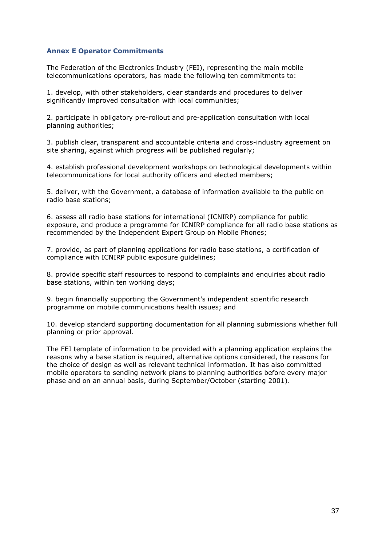#### **Annex E Operator Commitments**

The Federation of the Electronics Industry (FEI), representing the main mobile telecommunications operators, has made the following ten commitments to:

1. develop, with other stakeholders, clear standards and procedures to deliver significantly improved consultation with local communities;

2. participate in obligatory pre-rollout and pre-application consultation with local planning authorities;

3. publish clear, transparent and accountable criteria and cross-industry agreement on site sharing, against which progress will be published regularly;

4. establish professional development workshops on technological developments within telecommunications for local authority officers and elected members;

5. deliver, with the Government, a database of information available to the public on radio base stations;

6. assess all radio base stations for international (ICNIRP) compliance for public exposure, and produce a programme for ICNIRP compliance for all radio base stations as recommended by the Independent Expert Group on Mobile Phones;

7. provide, as part of planning applications for radio base stations, a certification of compliance with ICNIRP public exposure guidelines;

8. provide specific staff resources to respond to complaints and enquiries about radio base stations, within ten working days;

9. begin financially supporting the Government's independent scientific research programme on mobile communications health issues; and

10. develop standard supporting documentation for all planning submissions whether full planning or prior approval.

The FEI template of information to be provided with a planning application explains the reasons why a base station is required, alternative options considered, the reasons for the choice of design as well as relevant technical information. It has also committed mobile operators to sending network plans to planning authorities before every major phase and on an annual basis, during September/October (starting 2001).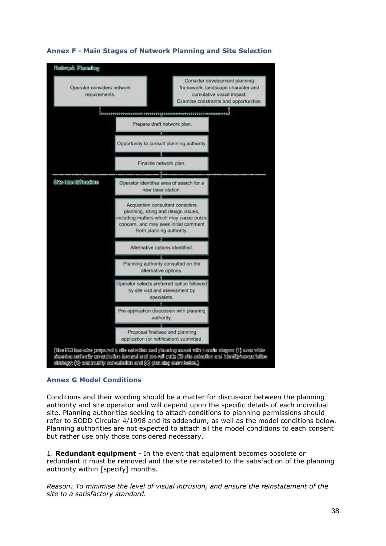

# **Annex F - Main Stages of Network Planning and Site Selection**

## **Annex G Model Conditions**

Conditions and their wording should be a matter for discussion between the planning authority and site operator and will depend upon the specific details of each individual site. Planning authorities seeking to attach conditions to planning permissions should refer to SODD Circular 4/1998 and its addendum, as well as the model conditions below. Planning authorities are not expected to attach all the model conditions to each consent but rather use only those considered necessary.

1. **Redundant equipment** - In the event that equipment becomes obsolete or redundant it must be removed and the site reinstated to the satisfaction of the planning authority within [specify] months.

*Reason: To minimise the level of visual intrusion, and ensure the reinstatement of the site to a satisfactory standard.*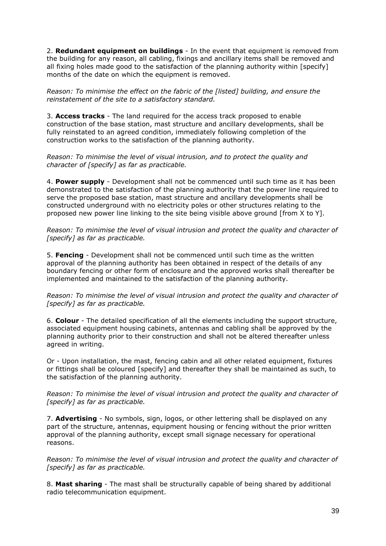2. **Redundant equipment on buildings** - In the event that equipment is removed from the building for any reason, all cabling, fixings and ancillary items shall be removed and all fixing holes made good to the satisfaction of the planning authority within [specify] months of the date on which the equipment is removed.

*Reason: To minimise the effect on the fabric of the [listed] building, and ensure the reinstatement of the site to a satisfactory standard.*

3. **Access tracks** - The land required for the access track proposed to enable construction of the base station, mast structure and ancillary developments, shall be fully reinstated to an agreed condition, immediately following completion of the construction works to the satisfaction of the planning authority.

*Reason: To minimise the level of visual intrusion, and to protect the quality and character of [specify] as far as practicable.*

4. **Power supply** - Development shall not be commenced until such time as it has been demonstrated to the satisfaction of the planning authority that the power line required to serve the proposed base station, mast structure and ancillary developments shall be constructed underground with no electricity poles or other structures relating to the proposed new power line linking to the site being visible above ground [from X to Y].

*Reason: To minimise the level of visual intrusion and protect the quality and character of [specify] as far as practicable.*

5. **Fencing** - Development shall not be commenced until such time as the written approval of the planning authority has been obtained in respect of the details of any boundary fencing or other form of enclosure and the approved works shall thereafter be implemented and maintained to the satisfaction of the planning authority.

*Reason: To minimise the level of visual intrusion and protect the quality and character of [specify] as far as practicable.*

6. **Colour** - The detailed specification of all the elements including the support structure, associated equipment housing cabinets, antennas and cabling shall be approved by the planning authority prior to their construction and shall not be altered thereafter unless agreed in writing.

Or - Upon installation, the mast, fencing cabin and all other related equipment, fixtures or fittings shall be coloured [specify] and thereafter they shall be maintained as such, to the satisfaction of the planning authority.

*Reason: To minimise the level of visual intrusion and protect the quality and character of [specify] as far as practicable.*

7. **Advertising** - No symbols, sign, logos, or other lettering shall be displayed on any part of the structure, antennas, equipment housing or fencing without the prior written approval of the planning authority, except small signage necessary for operational reasons.

*Reason: To minimise the level of visual intrusion and protect the quality and character of [specify] as far as practicable.*

8. **Mast sharing** - The mast shall be structurally capable of being shared by additional radio telecommunication equipment.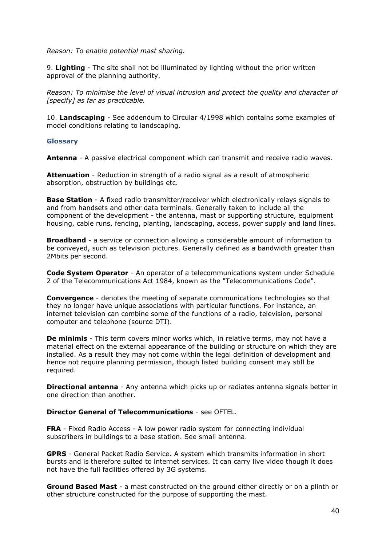*Reason: To enable potential mast sharing.*

9. **Lighting** - The site shall not be illuminated by lighting without the prior written approval of the planning authority.

*Reason: To minimise the level of visual intrusion and protect the quality and character of [specify] as far as practicable.*

10. **Landscaping** - See addendum to Circular 4/1998 which contains some examples of model conditions relating to landscaping.

#### **Glossary**

**Antenna** - A passive electrical component which can transmit and receive radio waves.

**Attenuation** - Reduction in strength of a radio signal as a result of atmospheric absorption, obstruction by buildings etc.

**Base Station** - A fixed radio transmitter/receiver which electronically relays signals to and from handsets and other data terminals. Generally taken to include all the component of the development - the antenna, mast or supporting structure, equipment housing, cable runs, fencing, planting, landscaping, access, power supply and land lines.

**Broadband** - a service or connection allowing a considerable amount of information to be conveyed, such as television pictures. Generally defined as a bandwidth greater than 2Mbits per second.

**Code System Operator** - An operator of a telecommunications system under Schedule 2 of the Telecommunications Act 1984, known as the "Telecommunications Code".

**Convergence** - denotes the meeting of separate communications technologies so that they no longer have unique associations with particular functions. For instance, an internet television can combine some of the functions of a radio, television, personal computer and telephone (source DTI).

**De minimis** - This term covers minor works which, in relative terms, may not have a material effect on the external appearance of the building or structure on which they are installed. As a result they may not come within the legal definition of development and hence not require planning permission, though listed building consent may still be required.

**Directional antenna** - Any antenna which picks up or radiates antenna signals better in one direction than another.

#### **Director General of Telecommunications** - see OFTEL.

**FRA** - Fixed Radio Access - A low power radio system for connecting individual subscribers in buildings to a base station. See small antenna.

**GPRS** - General Packet Radio Service. A system which transmits information in short bursts and is therefore suited to internet services. It can carry live video though it does not have the full facilities offered by 3G systems.

**Ground Based Mast** - a mast constructed on the ground either directly or on a plinth or other structure constructed for the purpose of supporting the mast.